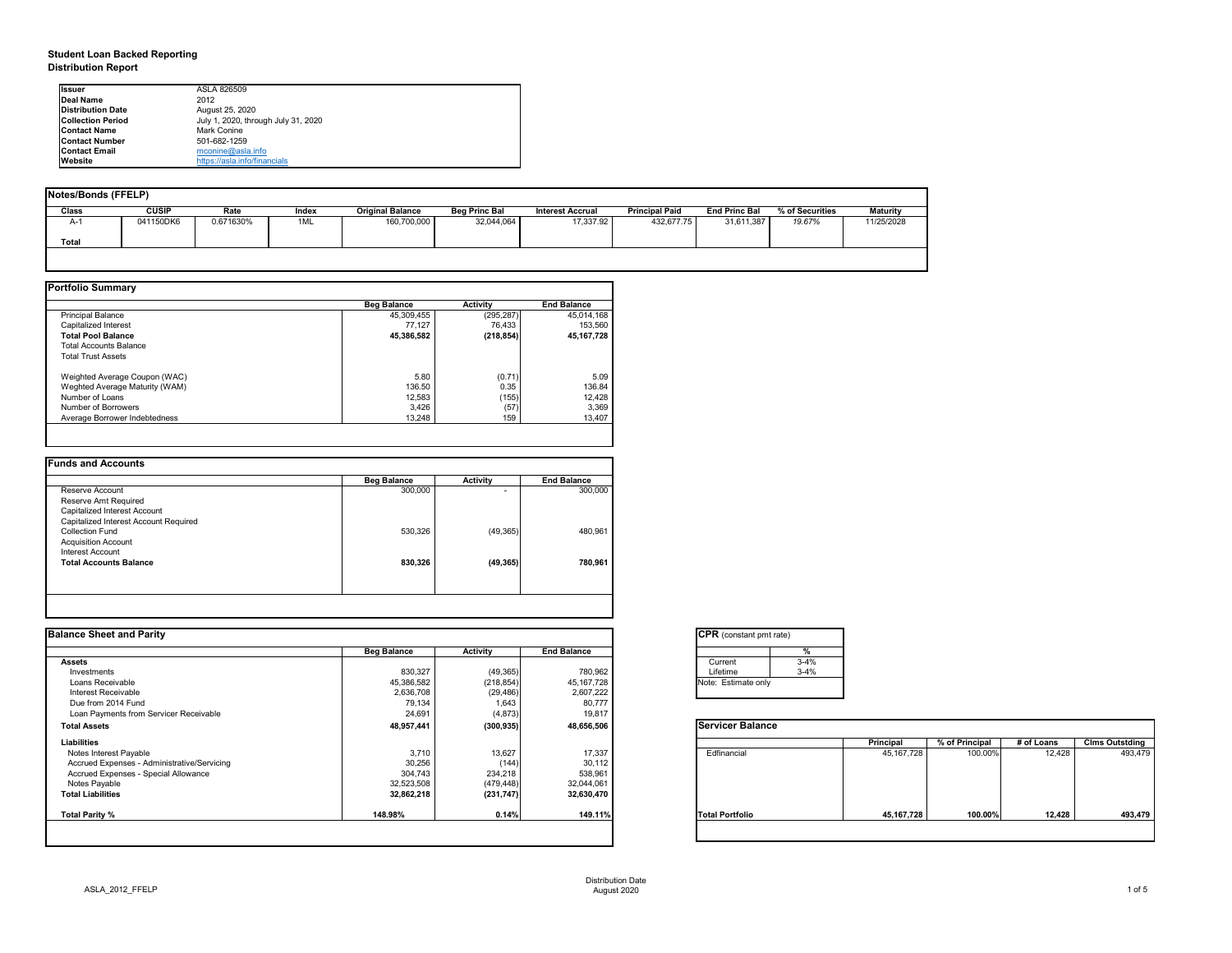## **Student Loan Backed Reporting Distribution Report**

| Notes/Bonds (FFELP) |              |           |       |                         |                      |                         |                       |                      |                 |                 |
|---------------------|--------------|-----------|-------|-------------------------|----------------------|-------------------------|-----------------------|----------------------|-----------------|-----------------|
| <b>Class</b>        | <b>CUSIP</b> | Rate      | Index | <b>Original Balance</b> | <b>Beg Princ Bal</b> | <b>Interest Accrual</b> | <b>Principal Paid</b> | <b>End Princ Bal</b> | % of Securities | <b>Maturity</b> |
| A-1                 | 041150DK6    | 0.671630% | 1ML   | 160,700,000             | 32,044,064           | 17,337.92               | 432,677.75            | 31,611,387           | 19.67%          | 11/25/2028      |
| <b>Total</b>        |              |           |       |                         |                      |                         |                       |                      |                 |                 |
|                     |              |           |       |                         |                      |                         |                       |                      |                 |                 |

|                                | <b>Beg Balance</b> | <b>Activity</b> | <b>End Balance</b> |
|--------------------------------|--------------------|-----------------|--------------------|
| <b>Principal Balance</b>       | 45,309,455         | (295, 287)      | 45,014,168         |
| Capitalized Interest           | 77,127             | 76,433          | 153,560            |
| <b>Total Pool Balance</b>      | 45,386,582         | (218, 854)      | 45, 167, 728       |
| <b>Total Accounts Balance</b>  |                    |                 |                    |
| <b>Total Trust Assets</b>      |                    |                 |                    |
| Weighted Average Coupon (WAC)  | 5.80               | (0.71)          | 5.09               |
| Weghted Average Maturity (WAM) | 136.50             | 0.35            | 136.84             |
| Number of Loans                | 12,583             | (155)           | 12,428             |
| Number of Borrowers            | 3,426              | (57)            | 3,369              |
| Average Borrower Indebtedness  | 13,248             | 159             | 13,407             |

| <b>Beg Balance</b> | <b>Activity</b>          | <b>End Balance</b> |
|--------------------|--------------------------|--------------------|
| 300,000            | $\overline{\phantom{0}}$ | 300,000            |
|                    |                          |                    |
|                    |                          |                    |
|                    |                          |                    |
| 530,326            | (49, 365)                | 480,961            |
|                    |                          |                    |
|                    |                          |                    |
| 830,326            | (49, 365)                | 780,961            |
|                    |                          |                    |
|                    |                          |                    |
|                    |                          |                    |

| <b>I</b> lssuer           | ASLA 826509                         |
|---------------------------|-------------------------------------|
| Deal Name                 | 2012                                |
| <b>IDistribution Date</b> | August 25, 2020                     |
| <b>Collection Period</b>  | July 1, 2020, through July 31, 2020 |
| <b>IContact Name</b>      | Mark Conine                         |
| <b>Contact Number</b>     | 501-682-1259                        |
| <b>Contact Email</b>      | mconine@asla.info                   |
| <b>IWebsite</b>           | https://asla.info/financials        |

| <b>Balance Sheet and Parity</b> |                 |                    | <b>CPR</b> (constant pmt rate) |                  |                |            |                       |
|---------------------------------|-----------------|--------------------|--------------------------------|------------------|----------------|------------|-----------------------|
| <b>Beg Balance</b>              | <b>Activity</b> | <b>End Balance</b> |                                |                  |                |            |                       |
|                                 |                 |                    | $3 - 4%$<br>Current            |                  |                |            |                       |
| 830,327                         | (49, 365)       | 780,962            | $3 - 4%$<br>Lifetime           |                  |                |            |                       |
| 45,386,582                      | (218, 854)      | 45,167,728         | Note: Estimate only            |                  |                |            |                       |
| 2,636,708                       | (29, 486)       | 2,607,222          |                                |                  |                |            |                       |
|                                 |                 |                    |                                |                  |                |            |                       |
| 24,691                          | (4, 873)        | 19,817             |                                |                  |                |            |                       |
| 48,957,441                      | (300, 935)      | 48,656,506         | <b>Servicer Balance</b>        |                  |                |            |                       |
|                                 |                 |                    |                                | <b>Principal</b> | % of Principal | # of Loans | <b>Clms Outstding</b> |
| 3,710                           | 13,627          | 17,337             | Edfinancial                    | 45,167,728       | 100.00%        | 12,428     | 493,479               |
| 30,256                          | (144)           | 30,112             |                                |                  |                |            |                       |
| 304,743                         | 234,218         | 538,961            |                                |                  |                |            |                       |
| 32,523,508                      | (479, 448)      | 32,044,061         |                                |                  |                |            |                       |
| 32,862,218                      | (231, 747)      | 32,630,470         |                                |                  |                |            |                       |
| 148.98%                         | 0.14%           | 149.11%            | <b>Total Portfolio</b>         | 45,167,728       | 100.00%        | 12,428     | 493,479               |
|                                 | 79,134          | 1,643              | 80,777                         |                  |                |            |                       |

| tant pmt rate) |          |  |  |  |  |  |  |
|----------------|----------|--|--|--|--|--|--|
|                | %        |  |  |  |  |  |  |
|                | $3 - 4%$ |  |  |  |  |  |  |
|                | $3 - 4%$ |  |  |  |  |  |  |
| ate only       |          |  |  |  |  |  |  |
|                |          |  |  |  |  |  |  |

|      | Principal    | % of Principal | # of Loans | <b>Clms Outstding</b> |
|------|--------------|----------------|------------|-----------------------|
| al   | 45, 167, 728 | 100.00%        | 12,428     | 493,479               |
| olio | 45, 167, 728 | 100.00%        | 12,428     | 493,479               |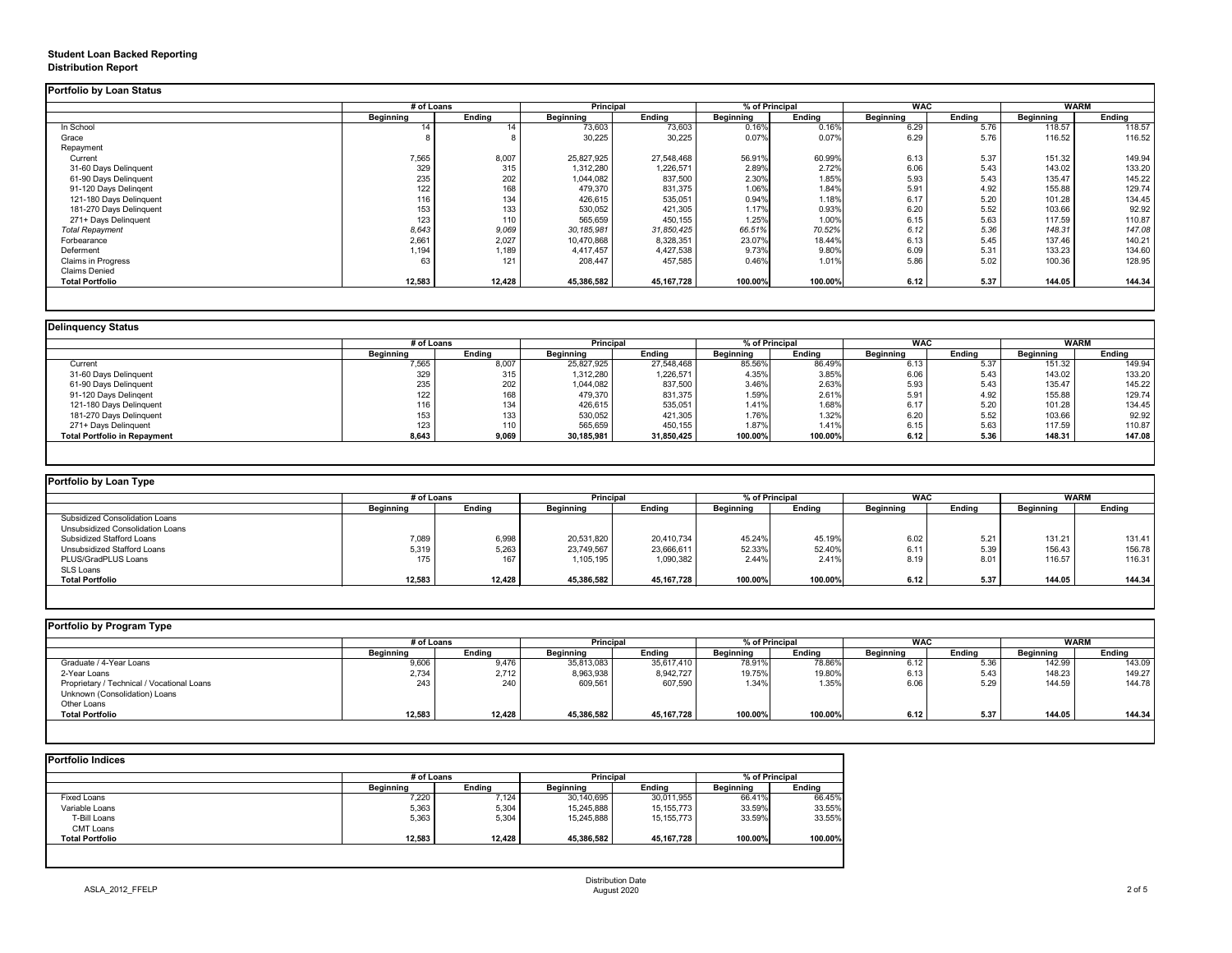# **Student Loan Backed Reporting Distribution Report**

### **Delinquency Status**

|                           | # of Loans       |               | <b>Principal</b> |               | % of Principal   |               | <b>WAC</b>        |               | <b>WARM</b>      |               |
|---------------------------|------------------|---------------|------------------|---------------|------------------|---------------|-------------------|---------------|------------------|---------------|
|                           | <b>Beginning</b> | <b>Ending</b> | <b>Beginning</b> | <b>Ending</b> | <b>Beginning</b> | <b>Ending</b> | <b>Beginning</b>  | <b>Ending</b> | <b>Beginning</b> | <b>Ending</b> |
| In School                 | 14               | 14            | 73,603           | 73,603        | 0.16%            | 0.16%         | $6.\overline{29}$ | 5.76          | 118.57           | 118.57        |
| Grace                     |                  |               | 30,225           | 30,225        | 0.07%            | 0.07%         | 6.29              | 5.76          | 116.52           | 116.52        |
| Repayment                 |                  |               |                  |               |                  |               |                   |               |                  |               |
| Current                   | 7,565            | 8,007         | 25,827,925       | 27,548,468    | 56.91%           | 60.99%        | 6.13              | 5.37          | 151.32           | 149.94        |
| 31-60 Days Delinquent     | 329              | 315           | 1,312,280        | 1,226,571     | 2.89%            | 2.72%         | 6.06              | 5.43          | 143.02           | 133.20        |
| 61-90 Days Delinquent     | 235              | 202           | 1,044,082        | 837,500       | 2.30%            | 1.85%         | 5.93              | 5.43          | 135.47           | 145.22        |
| 91-120 Days Delingent     | 122              | 168           | 479,370          | 831,375       | 1.06%            | 1.84%         | 5.91              | 4.92          | 155.88           | 129.74        |
| 121-180 Days Delinquent   | 116              | 134           | 426,615          | 535,051       | 0.94%            | 1.18%         | 6.17              | 5.20          | 101.28           | 134.45        |
| 181-270 Days Delinquent   | 153              | 133           | 530,052          | 421,305       | 1.17%            | 0.93%         | 6.20              | 5.52          | 103.66           | 92.92         |
| 271+ Days Delinquent      | 123              | 110           | 565,659          | 450,155       | 1.25%            | 1.00%         | 6.15              | 5.63          | 117.59           | 110.87        |
| <b>Total Repayment</b>    | 8,643            | 9,069         | 30,185,981       | 31,850,425    | 66.51%           | 70.52%        | 6.12              | 5.36          | 148.31           | 147.08        |
| Forbearance               | 2,661            | 2,027         | 10,470,868       | 8,328,351     | 23.07%           | 18.44%        | 6.13              | 5.45          | 137.46           | 140.21        |
| Deferment                 | 1,194            | 1,189         | 4,417,457        | 4,427,538     | 9.73%            | 9.80%         | 6.09              | 5.31          | 133.23           | 134.60        |
| <b>Claims in Progress</b> | 63               | 121           | 208,447          | 457,585       | 0.46%            | 1.01%         | 5.86              | 5.02          | 100.36           | 128.95        |
| <b>Claims Denied</b>      |                  |               |                  |               |                  |               |                   |               |                  |               |
| <b>Total Portfolio</b>    | 12,583           | 12,428        | 45,386,582       | 45,167,728    | 100.00%          | 100.00%       | 6.12              | 5.37          | 144.05           | 144.34        |

|                                     | # of Loans       |               | <b>Principal</b> |               | % of Principal   |               | <b>WAC</b>       |               | <b>WARM</b>      |               |
|-------------------------------------|------------------|---------------|------------------|---------------|------------------|---------------|------------------|---------------|------------------|---------------|
|                                     | <b>Beginning</b> | <b>Ending</b> | <b>Beginning</b> | <b>Ending</b> | <b>Beginning</b> | <b>Ending</b> | <b>Beginning</b> | <b>Ending</b> | <b>Beginning</b> | <b>Ending</b> |
| Current                             | 7,565            | 8,007         | 25,827,925       | 27,548,468    | 85.56%           | 86.49%        | 6.13             | 5.37          | 151.32           | 149.94        |
| 31-60 Days Delinquent               | 329              | 315           | 1,312,280        | 1,226,571     | 4.35%            | 3.85%         | 6.06             | 5.43          | 143.02           | 133.20        |
| 61-90 Days Delinquent               | 235              | 202           | 1,044,082        | 837,500       | 3.46%            | 2.63%         | 5.93             | 5.43          | 135.47           | 145.22        |
| 91-120 Days Delinqent               | 122              | 168           | 479,370          | 831,375       | 1.59%            | 2.61%         | 5.91             | 4.92          | 155.88           | 129.74        |
| 121-180 Days Delinquent             | 116              | 134           | 426,615          | 535,051       | 1.41%            | 1.68%         | 6.17             | 5.20          | 101.28           | 134.45        |
| 181-270 Days Delinquent             | 153              | 133           | 530,052          | 421,305       | 1.76%            | 1.32%         | 6.20             | 5.52          | 103.66           | 92.92         |
| 271+ Days Delinquent                | 123              | 110           | 565,659          | 450,155       | 1.87%            | 1.41%         | 6.15             | 5.63          | 117.59           | 110.87        |
| <b>Total Portfolio in Repayment</b> | 8,643            | 9,069         | 30,185,981       | 31,850,425    | 100.00%          | 100.00%       | 6.12             | 5.36          | 148.31           | 147.08        |

| <b>Portfolio by Loan Type</b>         |                  |               |                  |               |                  |               |                  |               |                  |               |
|---------------------------------------|------------------|---------------|------------------|---------------|------------------|---------------|------------------|---------------|------------------|---------------|
|                                       | # of Loans       |               | <b>Principal</b> |               | % of Principal   |               | <b>WAC</b>       |               | <b>WARM</b>      |               |
|                                       | <b>Beginning</b> | <b>Ending</b> | <b>Beginning</b> | <b>Ending</b> | <b>Beginning</b> | <b>Ending</b> | <b>Beginning</b> | <b>Ending</b> | <b>Beginning</b> | <b>Ending</b> |
| <b>Subsidized Consolidation Loans</b> |                  |               |                  |               |                  |               |                  |               |                  |               |
| Unsubsidized Consolidation Loans      |                  |               |                  |               |                  |               |                  |               |                  |               |
| <b>Subsidized Stafford Loans</b>      | 7,089            | 6,998         | 20,531,820       | 20,410,734    | 45.24%           | 45.19%        | 6.02             | 5.21          | 131.21           | 131.41        |
| Unsubsidized Stafford Loans           | 5,319            | 5,263         | 23,749,567       | 23,666,611    | 52.33%           | 52.40%        | 6.11             | 5.39          | 156.43           | 156.78        |
| PLUS/GradPLUS Loans                   | 175              | 167           | 1,105,195        | 1,090,382     | 2.44%            | 2.41%         | 8.19             | 8.01          | 116.57           | 116.31        |
| <b>SLS Loans</b>                      |                  |               |                  |               |                  |               |                  |               |                  |               |
| <b>Total Portfolio</b>                | 12,583           | 12,428        | 45,386,582       | 45, 167, 728  | 100.00%          | 100.00%       | 6.12             | 5.37          | 144.05           | 144.34        |

|  |  |  | Portfolio by Program Type |  |
|--|--|--|---------------------------|--|
|--|--|--|---------------------------|--|

| Portfolio by Program Type                  |                  |               |                  |               |                  |               |                  |               |                  |               |
|--------------------------------------------|------------------|---------------|------------------|---------------|------------------|---------------|------------------|---------------|------------------|---------------|
|                                            | # of Loans       |               | <b>Principal</b> |               | % of Principal   |               | <b>WAC</b>       |               | <b>WARM</b>      |               |
|                                            | <b>Beginning</b> | <b>Ending</b> | <b>Beginning</b> | <b>Ending</b> | <b>Beginning</b> | <b>Ending</b> | <b>Beginning</b> | <b>Ending</b> | <b>Beginning</b> | <b>Ending</b> |
| Graduate / 4-Year Loans                    | 9,606            | 9,476         | 35,813,083       | 35,617,410    | 78.91%           | 78.86%        | 6.12             | 5.36          | 142.99           | 143.09        |
| 2-Year Loans                               | 2,734            | 2,712         | 8,963,938        | 8,942,727     | 19.75%           | 19.80%        | 6.13             | 5.43          | 148.23           | 149.27        |
| Proprietary / Technical / Vocational Loans | 243              | 240           | 609,561          | 607,590       | 1.34%            | 1.35%         | 6.06             | 5.29          | 144.59           | 144.78        |
| Unknown (Consolidation) Loans              |                  |               |                  |               |                  |               |                  |               |                  |               |
| Other Loans                                |                  |               |                  |               |                  |               |                  |               |                  |               |
| <b>Total Portfolio</b>                     | 12,583           | 12,428        | 45,386,582       | 45, 167, 728  | 100.00%          | 100.00%       | 6.12             | 5.37          | 144.05           | 144.34        |
|                                            |                  |               |                  |               |                  |               |                  |               |                  |               |

|                        |                  | # of Loans    |                  | <b>Principal</b> |                  | % of Principal |  |
|------------------------|------------------|---------------|------------------|------------------|------------------|----------------|--|
|                        | <b>Beginning</b> | <b>Ending</b> | <b>Beginning</b> | <b>Ending</b>    | <b>Beginning</b> | <b>Ending</b>  |  |
| <b>Fixed Loans</b>     | 7,220            | 7,124         | 30,140,695       | 30,011,955       | 66.41%           | 66.45%         |  |
| Variable Loans         | 5,363            | 5,304         | 15,245,888       | 15,155,773       | 33.59%           | 33.55%         |  |
| T-Bill Loans           | 5,363            | 5,304         | 15,245,888       | 15,155,773       | 33.59%           | 33.55%         |  |
| <b>CMT Loans</b>       |                  |               |                  |                  |                  |                |  |
| <b>Total Portfolio</b> | 12,583           | 12,428        | 45,386,582       | 45,167,728       | 100.00%          | 100.00%        |  |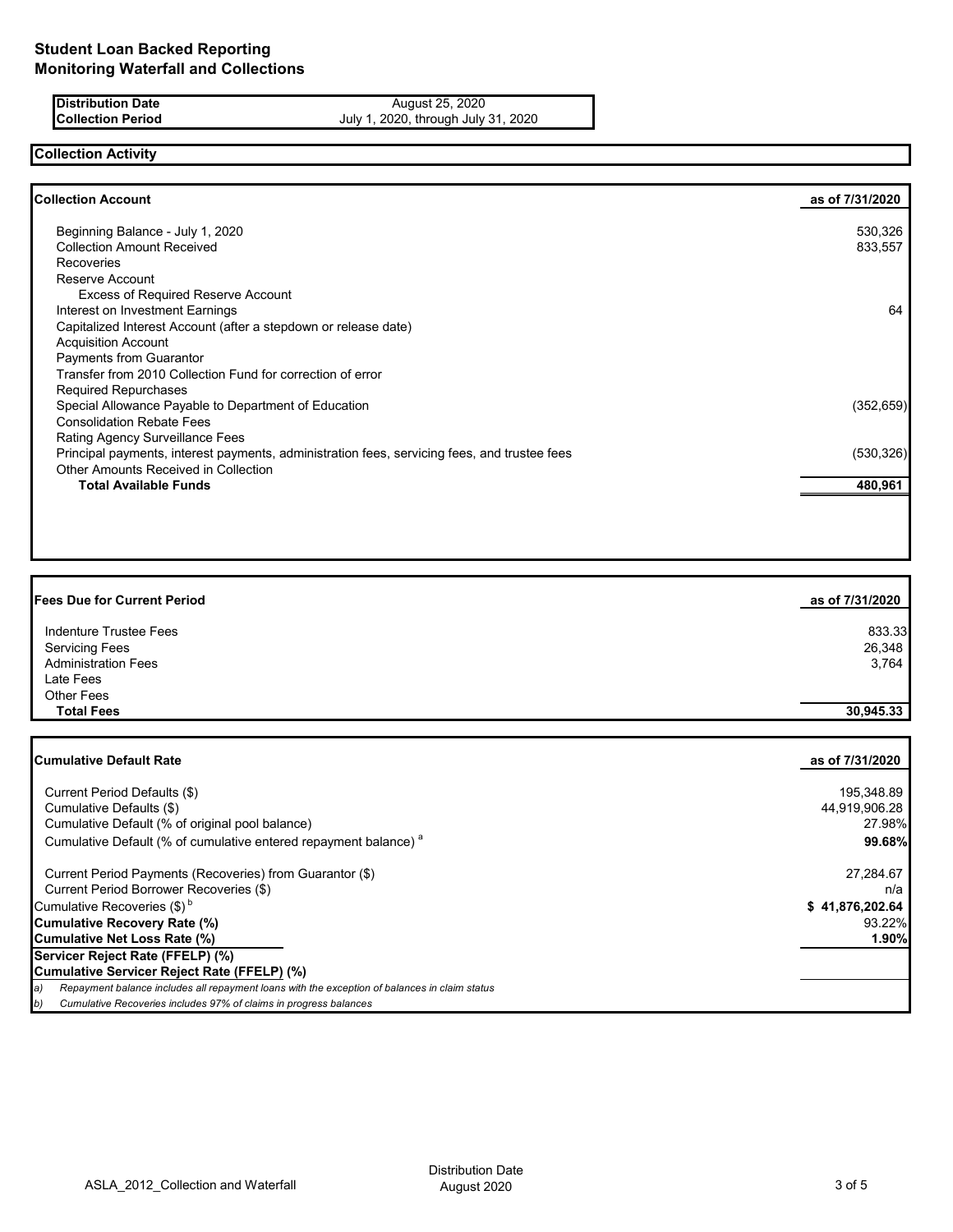**Distribution Date** August 25, 2020 **Collection Period** July 1, 2020, through July 31, 2020

### **Collection Activity**

| <b>Collection Account</b>                                                                    | as of 7/31/2020 |
|----------------------------------------------------------------------------------------------|-----------------|
| Beginning Balance - July 1, 2020                                                             | 530,326         |
| <b>Collection Amount Received</b>                                                            | 833,557         |
| <b>Recoveries</b>                                                                            |                 |
| Reserve Account                                                                              |                 |
| <b>Excess of Required Reserve Account</b>                                                    |                 |
| Interest on Investment Earnings                                                              | 64              |
| Capitalized Interest Account (after a stepdown or release date)                              |                 |
| <b>Acquisition Account</b>                                                                   |                 |
| <b>Payments from Guarantor</b>                                                               |                 |
| Transfer from 2010 Collection Fund for correction of error                                   |                 |
| <b>Required Repurchases</b>                                                                  |                 |
| Special Allowance Payable to Department of Education                                         | (352, 659)      |
| <b>Consolidation Rebate Fees</b>                                                             |                 |
| <b>Rating Agency Surveillance Fees</b>                                                       |                 |
| Principal payments, interest payments, administration fees, servicing fees, and trustee fees | (530, 326)      |
| Other Amounts Received in Collection                                                         |                 |
| <b>Total Available Funds</b>                                                                 | 480,961         |
|                                                                                              |                 |
|                                                                                              |                 |

| <b>Fees Due for Current Period</b> | as of 7/31/2020 |
|------------------------------------|-----------------|
| Indenture Trustee Fees             | 833.33          |
| <b>Servicing Fees</b>              | 26,348          |
| <b>Administration Fees</b>         | 3,764           |
| Late Fees                          |                 |
| <b>Other Fees</b>                  |                 |
| <b>Total Fees</b>                  | 30,945.33       |

| Cumulative Default Rate                                                                              | as of 7/31/2020 |
|------------------------------------------------------------------------------------------------------|-----------------|
|                                                                                                      |                 |
| Current Period Defaults (\$)                                                                         | 195,348.89      |
| Cumulative Defaults (\$)                                                                             | 44,919,906.28   |
| Cumulative Default (% of original pool balance)                                                      | 27.98%          |
| Cumulative Default (% of cumulative entered repayment balance) <sup>a</sup>                          | 99.68%          |
| Current Period Payments (Recoveries) from Guarantor (\$)                                             | 27,284.67       |
| Current Period Borrower Recoveries (\$)                                                              | n/a             |
| Cumulative Recoveries (\$) <sup>b</sup>                                                              | \$41,876,202.64 |
| Cumulative Recovery Rate (%)                                                                         | 93.22%          |
| Cumulative Net Loss Rate (%)                                                                         | 1.90%           |
| Servicer Reject Rate (FFELP) (%)                                                                     |                 |
| Cumulative Servicer Reject Rate (FFELP) (%)                                                          |                 |
| Repayment balance includes all repayment loans with the exception of balances in claim status<br> a) |                 |
| b)<br>Cumulative Recoveries includes 97% of claims in progress balances                              |                 |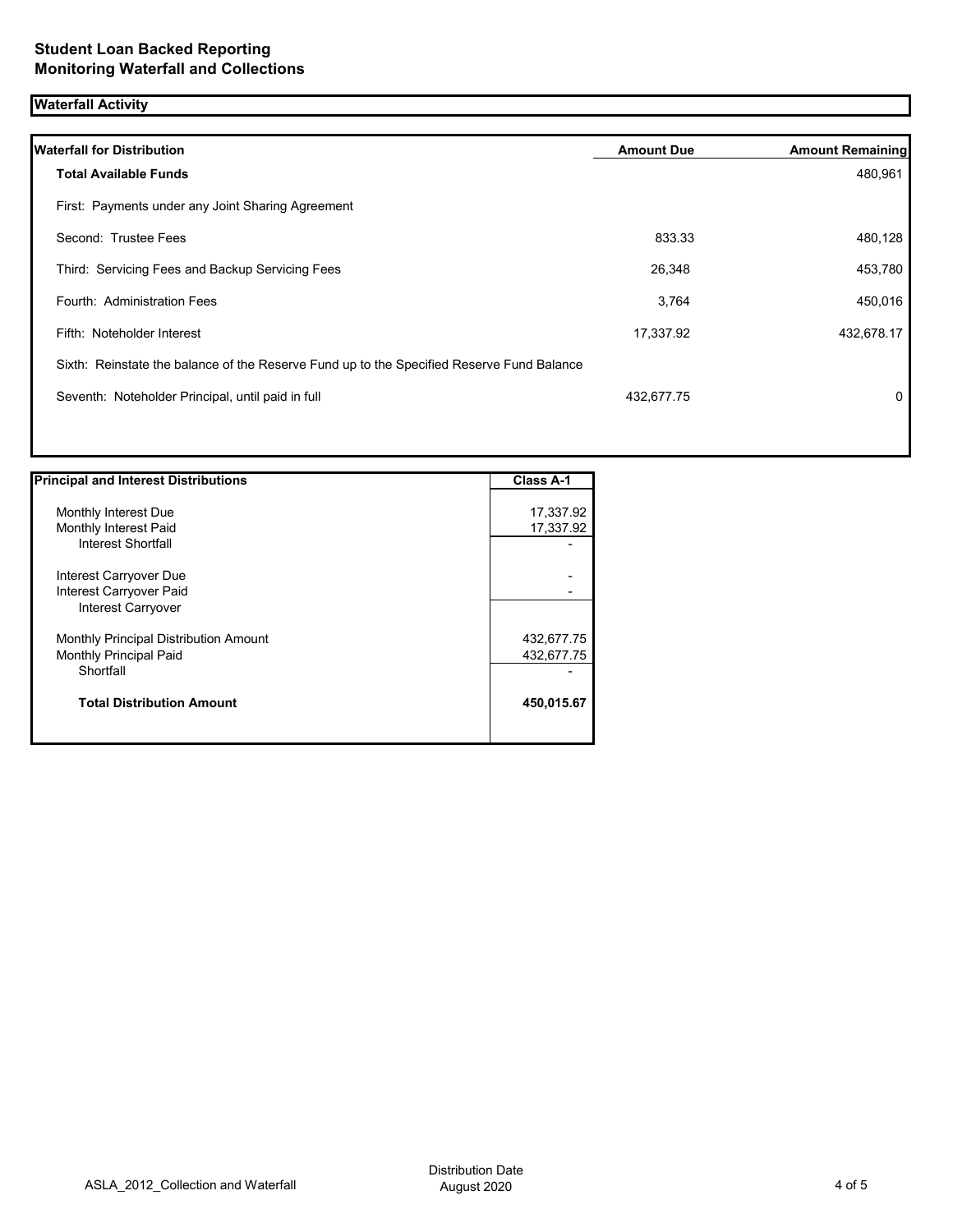## **Waterfall Activity**

| <b>Waterfall for Distribution</b>                                                         | <b>Amount Due</b> | <b>Amount Remaining</b> |
|-------------------------------------------------------------------------------------------|-------------------|-------------------------|
| <b>Total Available Funds</b>                                                              |                   | 480,961                 |
| First: Payments under any Joint Sharing Agreement                                         |                   |                         |
| Second: Trustee Fees                                                                      | 833.33            | 480,128                 |
| Third: Servicing Fees and Backup Servicing Fees                                           | 26,348            | 453,780                 |
| Fourth: Administration Fees                                                               | 3,764             | 450,016                 |
| Fifth: Noteholder Interest                                                                | 17,337.92         | 432,678.17              |
| Sixth: Reinstate the balance of the Reserve Fund up to the Specified Reserve Fund Balance |                   |                         |
| Seventh: Noteholder Principal, until paid in full                                         | 432,677.75        | $\mathbf{0}$            |
|                                                                                           |                   |                         |

| <b>Principal and Interest Distributions</b> | <b>Class A-1</b> |
|---------------------------------------------|------------------|
|                                             |                  |
| Monthly Interest Due                        | 17,337.92        |
| Monthly Interest Paid                       | 17,337.92        |
| <b>Interest Shortfall</b>                   |                  |
| Interest Carryover Due                      |                  |
| Interest Carryover Paid                     |                  |
| Interest Carryover                          |                  |
| Monthly Principal Distribution Amount       | 432,677.75       |
| <b>Monthly Principal Paid</b>               | 432,677.75       |
| Shortfall                                   |                  |
| <b>Total Distribution Amount</b>            | 450,015.67       |
|                                             |                  |